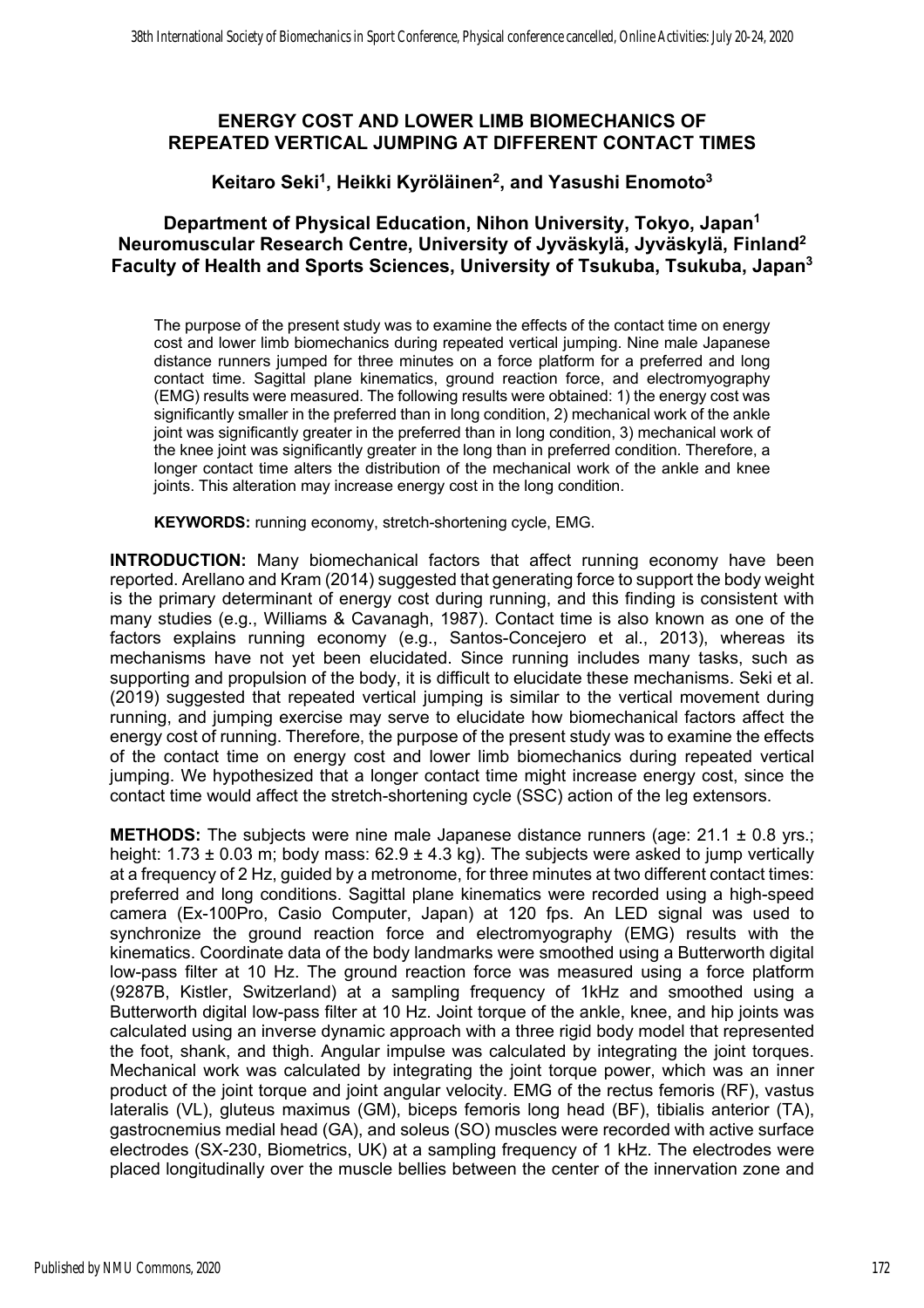## **ENERGY COST AND LOWER LIMB BIOMECHANICS OF REPEATED VERTICAL JUMPING AT DIFFERENT CONTACT TIMES**

## **Keitaro Seki1, Heikki Kyröläinen2, and Yasushi Enomoto3**

## **Department of Physical Education, Nihon University, Tokyo, Japan1 Neuromuscular Research Centre, University of Jyväskylä, Jyväskylä, Finland2 Faculty of Health and Sports Sciences, University of Tsukuba, Tsukuba, Japan3**

The purpose of the present study was to examine the effects of the contact time on energy cost and lower limb biomechanics during repeated vertical jumping. Nine male Japanese distance runners jumped for three minutes on a force platform for a preferred and long contact time. Sagittal plane kinematics, ground reaction force, and electromyography (EMG) results were measured. The following results were obtained: 1) the energy cost was significantly smaller in the preferred than in long condition, 2) mechanical work of the ankle joint was significantly greater in the preferred than in long condition, 3) mechanical work of the knee joint was significantly greater in the long than in preferred condition. Therefore, a longer contact time alters the distribution of the mechanical work of the ankle and knee joints. This alteration may increase energy cost in the long condition.

**KEYWORDS:** running economy, stretch-shortening cycle, EMG.

**INTRODUCTION:** Many biomechanical factors that affect running economy have been reported. Arellano and Kram (2014) suggested that generating force to support the body weight is the primary determinant of energy cost during running, and this finding is consistent with many studies (e.g., Williams & Cavanagh, 1987). Contact time is also known as one of the factors explains running economy (e.g., Santos-Concejero et al., 2013), whereas its mechanisms have not yet been elucidated. Since running includes many tasks, such as supporting and propulsion of the body, it is difficult to elucidate these mechanisms. Seki et al. (2019) suggested that repeated vertical jumping is similar to the vertical movement during running, and jumping exercise may serve to elucidate how biomechanical factors affect the energy cost of running. Therefore, the purpose of the present study was to examine the effects of the contact time on energy cost and lower limb biomechanics during repeated vertical jumping. We hypothesized that a longer contact time might increase energy cost, since the contact time would affect the stretch-shortening cycle (SSC) action of the leg extensors.

**METHODS:** The subjects were nine male Japanese distance runners (age: 21.1 ± 0.8 yrs.; height: 1.73  $\pm$  0.03 m; body mass: 62.9  $\pm$  4.3 kg). The subjects were asked to jump vertically at a frequency of 2 Hz, guided by a metronome, for three minutes at two different contact times: preferred and long conditions. Sagittal plane kinematics were recorded using a high-speed camera (Ex-100Pro, Casio Computer, Japan) at 120 fps. An LED signal was used to synchronize the ground reaction force and electromyography (EMG) results with the kinematics. Coordinate data of the body landmarks were smoothed using a Butterworth digital low-pass filter at 10 Hz. The ground reaction force was measured using a force platform (9287B, Kistler, Switzerland) at a sampling frequency of 1kHz and smoothed using a Butterworth digital low-pass filter at 10 Hz. Joint torque of the ankle, knee, and hip joints was calculated using an inverse dynamic approach with a three rigid body model that represented the foot, shank, and thigh. Angular impulse was calculated by integrating the joint torques. Mechanical work was calculated by integrating the joint torque power, which was an inner product of the joint torque and joint angular velocity. EMG of the rectus femoris (RF), vastus lateralis (VL), gluteus maximus (GM), biceps femoris long head (BF), tibialis anterior (TA), gastrocnemius medial head (GA), and soleus (SO) muscles were recorded with active surface electrodes (SX-230, Biometrics, UK) at a sampling frequency of 1 kHz. The electrodes were placed longitudinally over the muscle bellies between the center of the innervation zone and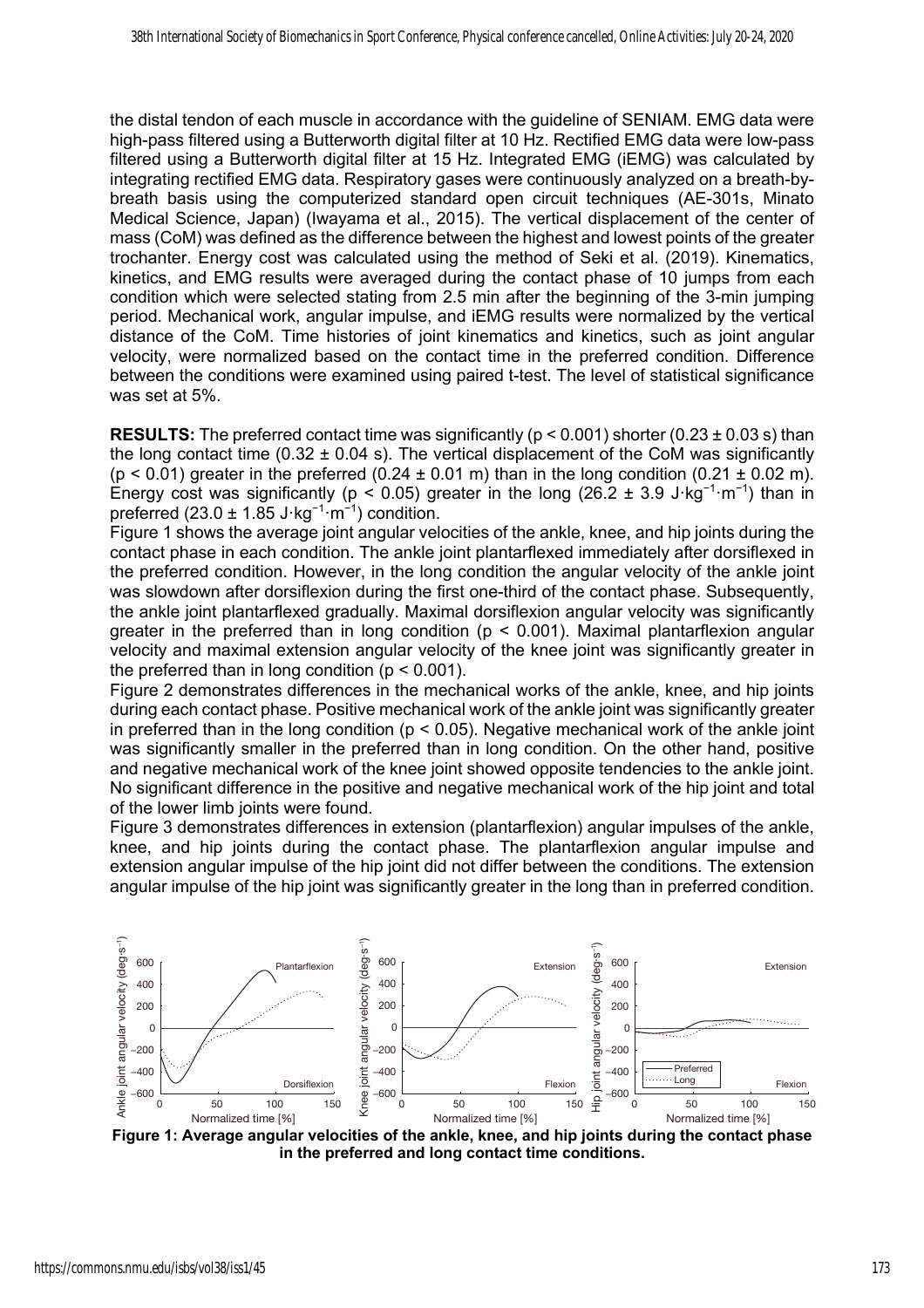the distal tendon of each muscle in accordance with the guideline of SENIAM. EMG data were high-pass filtered using a Butterworth digital filter at 10 Hz. Rectified EMG data were low-pass filtered using a Butterworth digital filter at 15 Hz. Integrated EMG (iEMG) was calculated by integrating rectified EMG data. Respiratory gases were continuously analyzed on a breath-bybreath basis using the computerized standard open circuit techniques (AE-301s, Minato Medical Science, Japan) (Iwayama et al., 2015). The vertical displacement of the center of mass (CoM) was defined as the difference between the highest and lowest points of the greater trochanter. Energy cost was calculated using the method of Seki et al. (2019). Kinematics, kinetics, and EMG results were averaged during the contact phase of 10 jumps from each condition which were selected stating from 2.5 min after the beginning of the 3-min jumping period. Mechanical work, angular impulse, and iEMG results were normalized by the vertical distance of the CoM. Time histories of joint kinematics and kinetics, such as joint angular velocity, were normalized based on the contact time in the preferred condition. Difference between the conditions were examined using paired t-test. The level of statistical significance was set at 5%.

**RESULTS:** The preferred contact time was significantly ( $p < 0.001$ ) shorter (0.23  $\pm$  0.03 s) than the long contact time (0.32  $\pm$  0.04 s). The vertical displacement of the CoM was significantly  $(p < 0.01)$  greater in the preferred  $(0.24 \pm 0.01 \text{ m})$  than in the long condition  $(0.21 \pm 0.02 \text{ m})$ . Energy cost was significantly ( $p < 0.05$ ) greater in the long (26.2 ± 3.9 J·kg<sup>-1</sup>·m<sup>-1</sup>) than in preferred (23.0  $\pm$  1.85 J·kg<sup>-1</sup>·m<sup>-1</sup>) condition.

Figure 1 shows the average joint angular velocities of the ankle, knee, and hip joints during the contact phase in each condition. The ankle joint plantarflexed immediately after dorsiflexed in the preferred condition. However, in the long condition the angular velocity of the ankle joint was slowdown after dorsiflexion during the first one-third of the contact phase. Subsequently, the ankle joint plantarflexed gradually. Maximal dorsiflexion angular velocity was significantly greater in the preferred than in long condition (p < 0.001). Maximal plantarflexion angular velocity and maximal extension angular velocity of the knee joint was significantly greater in the preferred than in long condition ( $p < 0.001$ ).

Figure 2 demonstrates differences in the mechanical works of the ankle, knee, and hip joints during each contact phase. Positive mechanical work of the ankle joint was significantly greater in preferred than in the long condition ( $p < 0.05$ ). Negative mechanical work of the ankle joint was significantly smaller in the preferred than in long condition. On the other hand, positive and negative mechanical work of the knee joint showed opposite tendencies to the ankle joint. No significant difference in the positive and negative mechanical work of the hip joint and total of the lower limb joints were found.

Figure 3 demonstrates differences in extension (plantarflexion) angular impulses of the ankle, knee, and hip joints during the contact phase. The plantarflexion angular impulse and extension angular impulse of the hip joint did not differ between the conditions. The extension angular impulse of the hip joint was significantly greater in the long than in preferred condition.



**Figure 1: Average angular velocities of the ankle, knee, and hip joints during the contact phase in the preferred and long contact time conditions.**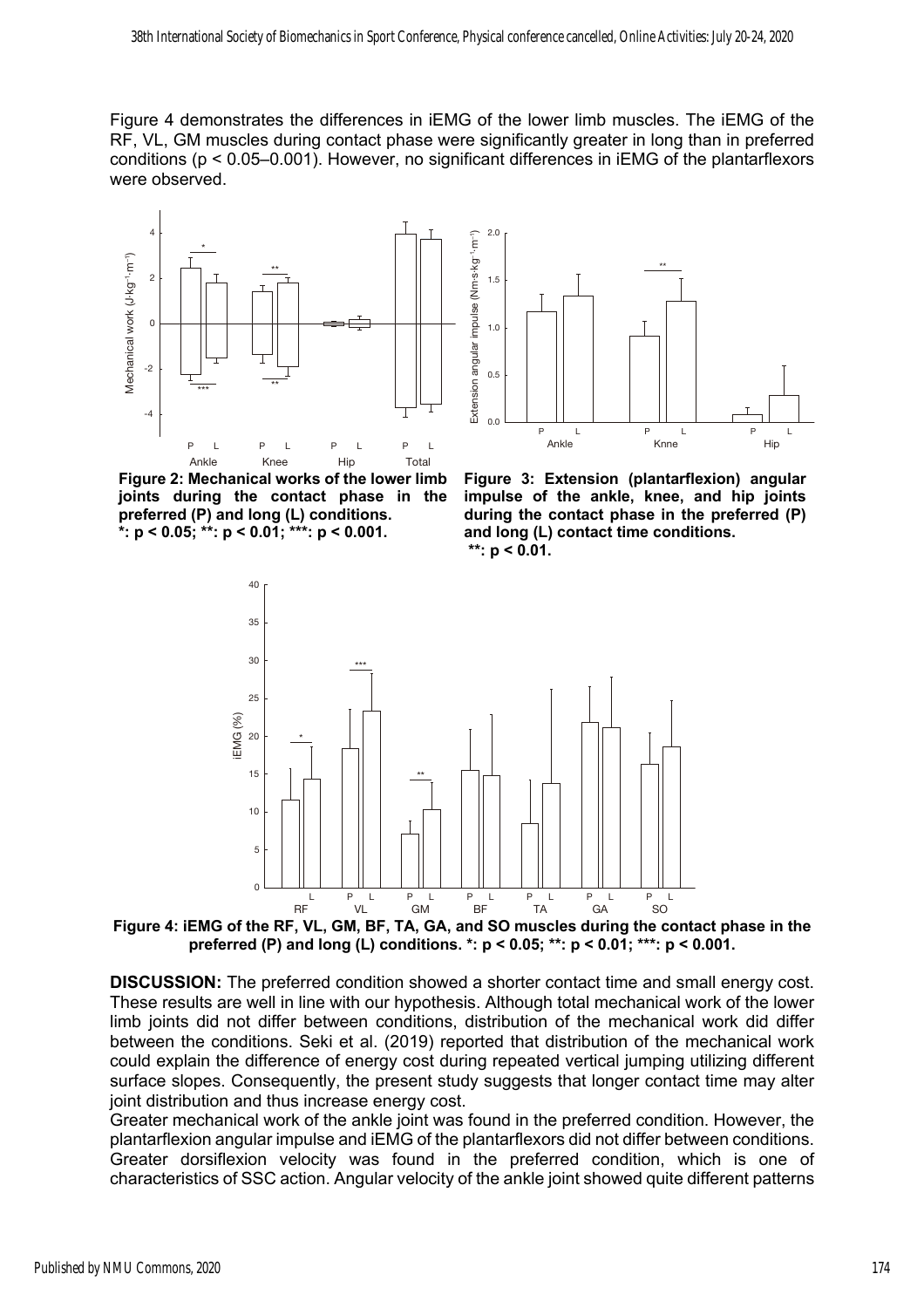Figure 4 demonstrates the differences in iEMG of the lower limb muscles. The iEMG of the RF, VL, GM muscles during contact phase were significantly greater in long than in preferred conditions (p < 0.05–0.001). However, no significant differences in iEMG of the plantarflexors were observed.





**Figure 2: Mechanical works of the lower limb joints during the contact phase in the preferred (P) and long (L) conditions. \*: p < 0.05; \*\*: p < 0.01; \*\*\*: p < 0.001.**

**Figure 3: Extension (plantarflexion) angular impulse of the ankle, knee, and hip joints during the contact phase in the preferred (P) and long (L) contact time conditions. \*\*: p < 0.01.**



**Figure 4: iEMG of the RF, VL, GM, BF, TA, GA, and SO muscles during the contact phase in the preferred (P) and long (L) conditions. \*: p < 0.05; \*\*: p < 0.01; \*\*\*: p < 0.001.**

**DISCUSSION:** The preferred condition showed a shorter contact time and small energy cost. These results are well in line with our hypothesis. Although total mechanical work of the lower limb joints did not differ between conditions, distribution of the mechanical work did differ between the conditions. Seki et al. (2019) reported that distribution of the mechanical work could explain the difference of energy cost during repeated vertical jumping utilizing different surface slopes. Consequently, the present study suggests that longer contact time may alter joint distribution and thus increase energy cost.

Greater mechanical work of the ankle joint was found in the preferred condition. However, the plantarflexion angular impulse and iEMG of the plantarflexors did not differ between conditions. Greater dorsiflexion velocity was found in the preferred condition, which is one of characteristics of SSC action. Angular velocity of the ankle joint showed quite different patterns